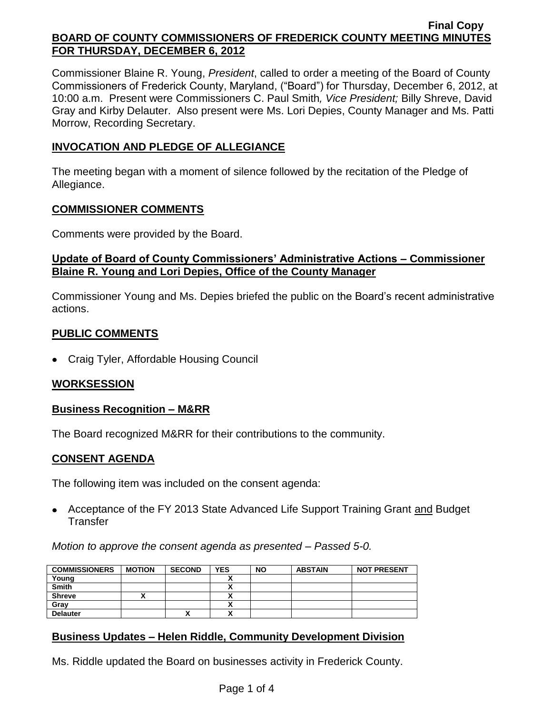Commissioner Blaine R. Young, *President*, called to order a meeting of the Board of County Commissioners of Frederick County, Maryland, ("Board") for Thursday, December 6, 2012, at 10:00 a.m. Present were Commissioners C. Paul Smith*, Vice President;* Billy Shreve, David Gray and Kirby Delauter. Also present were Ms. Lori Depies, County Manager and Ms. Patti Morrow, Recording Secretary.

## **INVOCATION AND PLEDGE OF ALLEGIANCE**

The meeting began with a moment of silence followed by the recitation of the Pledge of Allegiance.

#### **COMMISSIONER COMMENTS**

Comments were provided by the Board.

### **Update of Board of County Commissioners' Administrative Actions – Commissioner Blaine R. Young and Lori Depies, Office of the County Manager**

Commissioner Young and Ms. Depies briefed the public on the Board's recent administrative actions.

# **PUBLIC COMMENTS**

Craig Tyler, Affordable Housing Council

### **WORKSESSION**

### **Business Recognition – M&RR**

The Board recognized M&RR for their contributions to the community.

### **CONSENT AGENDA**

The following item was included on the consent agenda:

• Acceptance of the FY 2013 State Advanced Life Support Training Grant and Budget **Transfer** 

*Motion to approve the consent agenda as presented – Passed 5-0.*

| <b>COMMISSIONERS</b> | <b>MOTION</b> | <b>SECOND</b> | <b>YES</b>               | <b>NO</b> | <b>ABSTAIN</b> | <b>NOT PRESENT</b> |
|----------------------|---------------|---------------|--------------------------|-----------|----------------|--------------------|
| Young                |               |               |                          |           |                |                    |
| <b>Smith</b>         |               |               |                          |           |                |                    |
| <b>Shreve</b>        |               |               |                          |           |                |                    |
| Gray                 |               |               |                          |           |                |                    |
| <b>Delauter</b>      |               | ,,            | $\ddot{\phantom{0}}$<br> |           |                |                    |

# **Business Updates – Helen Riddle, Community Development Division**

Ms. Riddle updated the Board on businesses activity in Frederick County.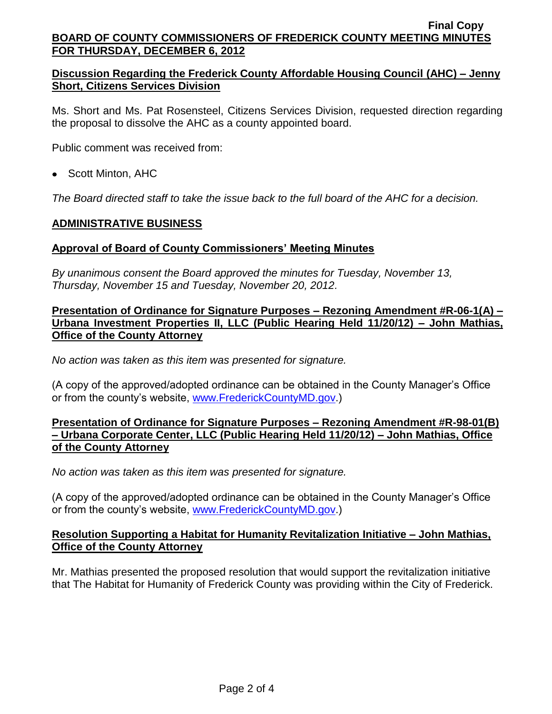## **Discussion Regarding the Frederick County Affordable Housing Council (AHC) – Jenny Short, Citizens Services Division**

Ms. Short and Ms. Pat Rosensteel, Citizens Services Division, requested direction regarding the proposal to dissolve the AHC as a county appointed board.

Public comment was received from:

• Scott Minton, AHC

*The Board directed staff to take the issue back to the full board of the AHC for a decision.*

## **ADMINISTRATIVE BUSINESS**

## **Approval of Board of County Commissioners' Meeting Minutes**

*By unanimous consent the Board approved the minutes for Tuesday, November 13, Thursday, November 15 and Tuesday, November 20, 2012.*

### **Presentation of Ordinance for Signature Purposes – Rezoning Amendment #R-06-1(A) – Urbana Investment Properties II, LLC (Public Hearing Held 11/20/12) – John Mathias, Office of the County Attorney**

*No action was taken as this item was presented for signature.*

(A copy of the approved/adopted ordinance can be obtained in the County Manager's Office or from the county's website, [www.FrederickCountyMD.gov.](http://www.frederickcountymd.gov/))

## **Presentation of Ordinance for Signature Purposes – Rezoning Amendment #R-98-01(B) – Urbana Corporate Center, LLC (Public Hearing Held 11/20/12) – John Mathias, Office of the County Attorney**

*No action was taken as this item was presented for signature.*

(A copy of the approved/adopted ordinance can be obtained in the County Manager's Office or from the county's website, [www.FrederickCountyMD.gov.](http://www.frederickcountymd.gov/))

### **Resolution Supporting a Habitat for Humanity Revitalization Initiative – John Mathias, Office of the County Attorney**

Mr. Mathias presented the proposed resolution that would support the revitalization initiative that The Habitat for Humanity of Frederick County was providing within the City of Frederick.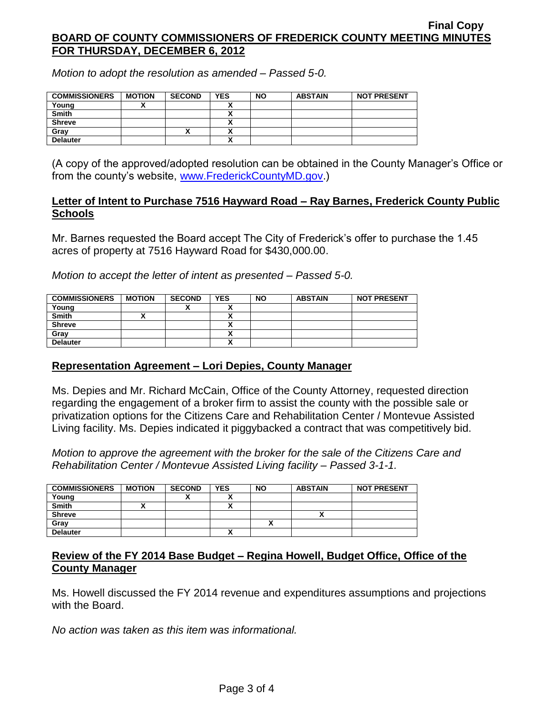*Motion to adopt the resolution as amended – Passed 5-0.*

| <b>COMMISSIONERS</b> | <b>MOTION</b> | <b>SECOND</b> | <b>YES</b> | <b>NO</b> | <b>ABSTAIN</b> | <b>NOT PRESENT</b> |
|----------------------|---------------|---------------|------------|-----------|----------------|--------------------|
| Young                |               |               |            |           |                |                    |
| <b>Smith</b>         |               |               |            |           |                |                    |
| <b>Shreve</b>        |               |               |            |           |                |                    |
| Grav                 |               | ^             |            |           |                |                    |
| <b>Delauter</b>      |               |               |            |           |                |                    |

(A copy of the approved/adopted resolution can be obtained in the County Manager's Office or from the county's website, [www.FrederickCountyMD.gov.](http://www.frederickcountymd.gov/))

#### **Letter of Intent to Purchase 7516 Hayward Road – Ray Barnes, Frederick County Public Schools**

Mr. Barnes requested the Board accept The City of Frederick's offer to purchase the 1.45 acres of property at 7516 Hayward Road for \$430,000.00.

*Motion to accept the letter of intent as presented – Passed 5-0.*

| <b>COMMISSIONERS</b> | <b>MOTION</b> | <b>SECOND</b> | <b>YES</b>           | <b>NO</b> | <b>ABSTAIN</b> | <b>NOT PRESENT</b> |
|----------------------|---------------|---------------|----------------------|-----------|----------------|--------------------|
| Young                |               |               | $\ddot{\phantom{0}}$ |           |                |                    |
| <b>Smith</b>         |               |               |                      |           |                |                    |
| <b>Shreve</b>        |               |               |                      |           |                |                    |
| Gray                 |               |               |                      |           |                |                    |
| <b>Delauter</b>      |               |               |                      |           |                |                    |

### **Representation Agreement – Lori Depies, County Manager**

Ms. Depies and Mr. Richard McCain, Office of the County Attorney, requested direction regarding the engagement of a broker firm to assist the county with the possible sale or privatization options for the Citizens Care and Rehabilitation Center / Montevue Assisted Living facility. Ms. Depies indicated it piggybacked a contract that was competitively bid.

*Motion to approve the agreement with the broker for the sale of the Citizens Care and Rehabilitation Center / Montevue Assisted Living facility – Passed 3-1-1.*

| <b>COMMISSIONERS</b> | <b>MOTION</b> | <b>SECOND</b> | <b>YES</b> | <b>NO</b> | <b>ABSTAIN</b> | <b>NOT PRESENT</b> |
|----------------------|---------------|---------------|------------|-----------|----------------|--------------------|
| Young                |               |               |            |           |                |                    |
| <b>Smith</b>         |               |               | ~          |           |                |                    |
| <b>Shreve</b>        |               |               |            |           |                |                    |
| Grav                 |               |               |            |           |                |                    |
| <b>Delauter</b>      |               |               | ^          |           |                |                    |

## **Review of the FY 2014 Base Budget – Regina Howell, Budget Office, Office of the County Manager**

Ms. Howell discussed the FY 2014 revenue and expenditures assumptions and projections with the Board.

*No action was taken as this item was informational.*